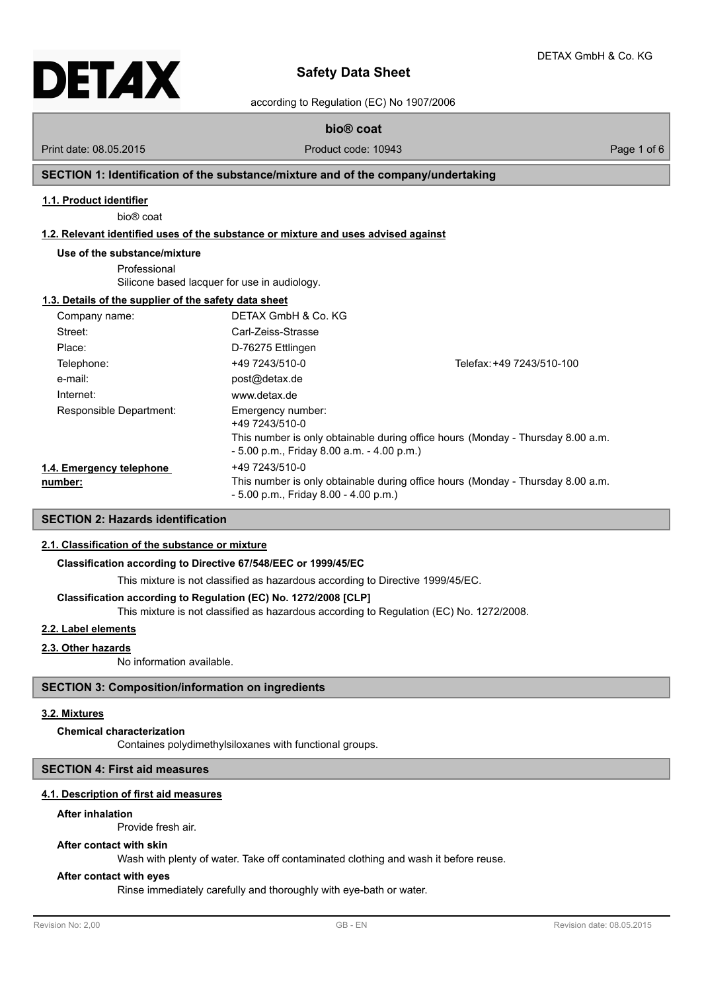

# **Safety Data Sheet**

according to Regulation (EC) No 1907/2006

**bio® coat**

Print date: 08.05.2015 Product code: 10943 Page 1 of 6

## **SECTION 1: Identification of the substance/mixture and of the company/undertaking**

#### **1.1. Product identifier**

bio® coat

## **1.2. Relevant identified uses of the substance or mixture and uses advised against**

#### **Use of the substance/mixture**

Professional Silicone based lacquer for use in audiology.

#### **1.3. Details of the supplier of the safety data sheet**

| Company name:                       | DETAX GmbH & Co. KG                                                                 |                                                                                 |
|-------------------------------------|-------------------------------------------------------------------------------------|---------------------------------------------------------------------------------|
| Street:                             | Carl-Zeiss-Strasse                                                                  |                                                                                 |
| Place:                              | D-76275 Ettlingen                                                                   |                                                                                 |
| Telephone:                          | +49 7243/510-0                                                                      | Telefax: +49 7243/510-100                                                       |
| e-mail:                             | post@detax.de                                                                       |                                                                                 |
| Internet:                           | www.detax.de                                                                        |                                                                                 |
| Responsible Department:             | Emergency number:<br>+49 7243/510-0<br>$-5.00$ p.m., Friday 8.00 a.m. $-4.00$ p.m.) | This number is only obtainable during office hours (Monday - Thursday 8.00 a.m. |
| 1.4. Emergency telephone<br>number: | +49 7243/510-0<br>$-5.00$ p.m., Friday 8.00 $-4.00$ p.m.)                           | This number is only obtainable during office hours (Monday - Thursday 8.00 a.m. |

## **SECTION 2: Hazards identification**

## **2.1. Classification of the substance or mixture**

## **Classification according to Directive 67/548/EEC or 1999/45/EC**

This mixture is not classified as hazardous according to Directive 1999/45/EC.

## **Classification according to Regulation (EC) No. 1272/2008 [CLP]**

This mixture is not classified as hazardous according to Regulation (EC) No. 1272/2008.

## **2.2. Label elements**

## **2.3. Other hazards**

No information available.

## **SECTION 3: Composition/information on ingredients**

#### **3.2. Mixtures**

#### **Chemical characterization**

Containes polydimethylsiloxanes with functional groups.

#### **SECTION 4: First aid measures**

#### **4.1. Description of first aid measures**

#### **After inhalation**

Provide fresh air.

## **After contact with skin**

Wash with plenty of water. Take off contaminated clothing and wash it before reuse.

#### **After contact with eyes**

Rinse immediately carefully and thoroughly with eye-bath or water.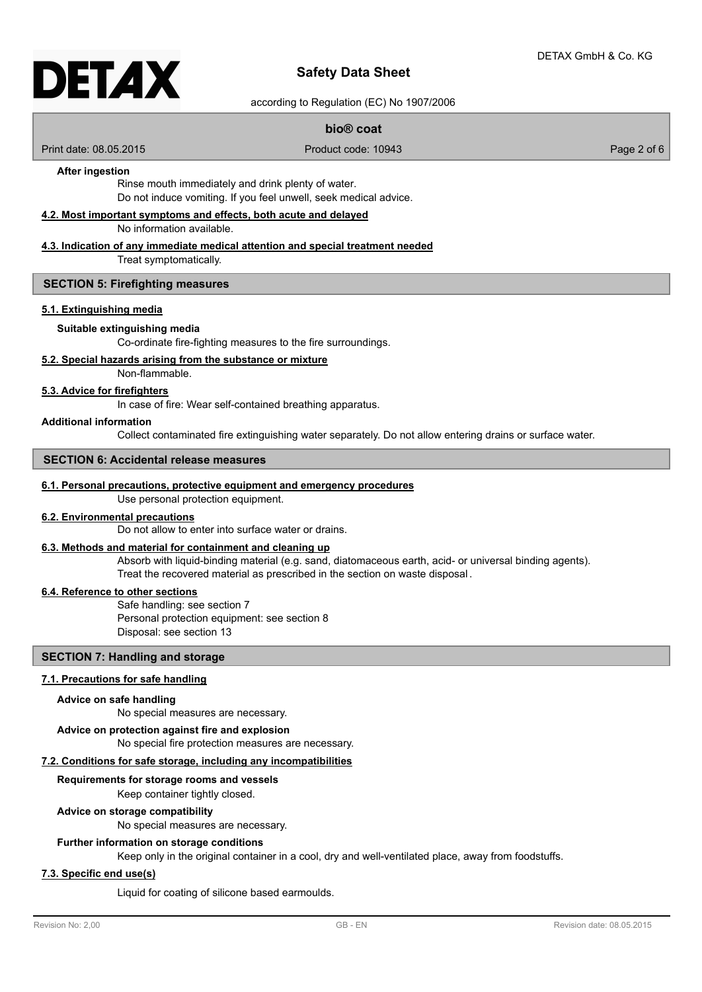# DETAX

## **Safety Data Sheet**

according to Regulation (EC) No 1907/2006

## **bio® coat**

Print date: 08.05.2015 Product code: 10943 Page 2 of 6

## **After ingestion**

Rinse mouth immediately and drink plenty of water. Do not induce vomiting. If you feel unwell, seek medical advice.

## **4.2. Most important symptoms and effects, both acute and delayed**

No information available.

## **4.3. Indication of any immediate medical attention and special treatment needed**

Treat symptomatically.

## **SECTION 5: Firefighting measures**

#### **5.1. Extinguishing media**

#### **Suitable extinguishing media**

Co-ordinate fire-fighting measures to the fire surroundings.

## **5.2. Special hazards arising from the substance or mixture**

Non-flammable.

## **5.3. Advice for firefighters**

In case of fire: Wear self-contained breathing apparatus.

#### **Additional information**

Collect contaminated fire extinguishing water separately. Do not allow entering drains or surface water.

#### **SECTION 6: Accidental release measures**

#### **6.1. Personal precautions, protective equipment and emergency procedures**

Use personal protection equipment.

## **6.2. Environmental precautions**

Do not allow to enter into surface water or drains.

## **6.3. Methods and material for containment and cleaning up**

Absorb with liquid-binding material (e.g. sand, diatomaceous earth, acid- or universal binding agents). Treat the recovered material as prescribed in the section on waste disposal .

## **6.4. Reference to other sections**

Safe handling: see section 7 Personal protection equipment: see section 8 Disposal: see section 13

## **SECTION 7: Handling and storage**

## **7.1. Precautions for safe handling**

#### **Advice on safe handling**

No special measures are necessary.

## **Advice on protection against fire and explosion**

# No special fire protection measures are necessary.

## **7.2. Conditions for safe storage, including any incompatibilities**

Keep container tightly closed. **Requirements for storage rooms and vessels**

#### **Advice on storage compatibility**

No special measures are necessary.

#### **Further information on storage conditions**

Keep only in the original container in a cool, dry and well-ventilated place, away from foodstuffs.

#### **7.3. Specific end use(s)**

Liquid for coating of silicone based earmoulds.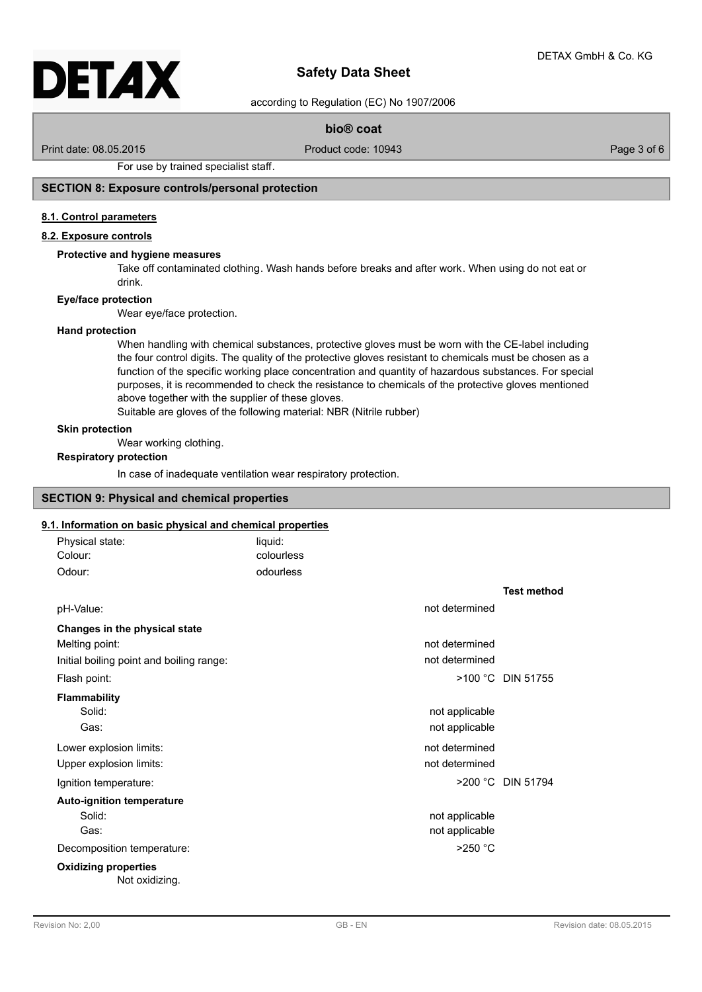# DETAX

## **Safety Data Sheet**

according to Regulation (EC) No 1907/2006

## **bio® coat**

Print date: 08.05.2015 Product code: 10943 Page 3 of 6

For use by trained specialist staff.

## **SECTION 8: Exposure controls/personal protection**

## **8.1. Control parameters**

## **8.2. Exposure controls**

#### **Protective and hygiene measures**

Take off contaminated clothing. Wash hands before breaks and after work. When using do not eat or drink.

#### **Eye/face protection**

Wear eye/face protection.

#### **Hand protection**

When handling with chemical substances, protective gloves must be worn with the CE-label including the four control digits. The quality of the protective gloves resistant to chemicals must be chosen as a function of the specific working place concentration and quantity of hazardous substances. For special purposes, it is recommended to check the resistance to chemicals of the protective gloves mentioned above together with the supplier of these gloves.

Suitable are gloves of the following material: NBR (Nitrile rubber)

## **Skin protection**

Wear working clothing.

#### **Respiratory protection**

In case of inadequate ventilation wear respiratory protection.

## **SECTION 9: Physical and chemical properties**

#### **9.1. Information on basic physical and chemical properties**

| Physical state:                               | liquid:    |                |                    |
|-----------------------------------------------|------------|----------------|--------------------|
| Colour:                                       | colourless |                |                    |
| Odour:                                        | odourless  |                |                    |
|                                               |            |                | <b>Test method</b> |
| pH-Value:                                     |            | not determined |                    |
| Changes in the physical state                 |            |                |                    |
| Melting point:                                |            | not determined |                    |
| Initial boiling point and boiling range:      |            | not determined |                    |
| Flash point:                                  |            |                | >100 °C DIN 51755  |
| <b>Flammability</b>                           |            |                |                    |
| Solid:                                        |            | not applicable |                    |
| Gas:                                          |            | not applicable |                    |
| Lower explosion limits:                       |            | not determined |                    |
| Upper explosion limits:                       |            | not determined |                    |
| Ignition temperature:                         |            |                | >200 °C DIN 51794  |
| <b>Auto-ignition temperature</b>              |            |                |                    |
| Solid:                                        |            | not applicable |                    |
| Gas:                                          |            | not applicable |                    |
| Decomposition temperature:                    |            | $>250$ °C      |                    |
| <b>Oxidizing properties</b><br>Not oxidizing. |            |                |                    |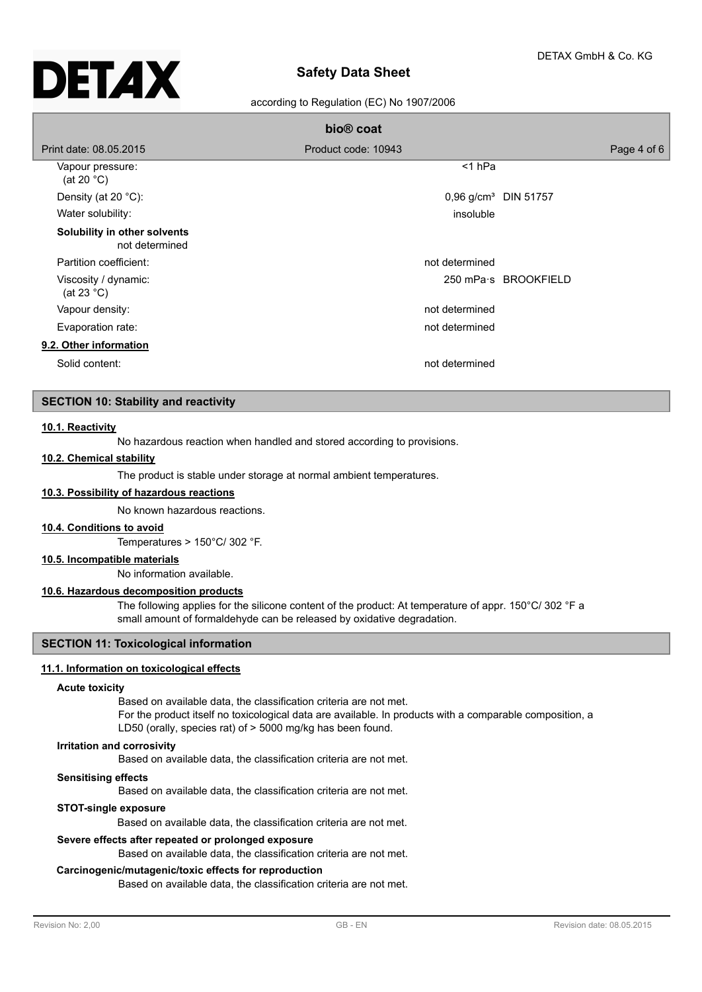# **Safety Data Sheet**

## according to Regulation (EC) No 1907/2006

|                                                | bio <sup>®</sup> coat            |                      |
|------------------------------------------------|----------------------------------|----------------------|
| Print date: 08.05.2015                         | Product code: 10943              | Page 4 of 6          |
| Vapour pressure:<br>(at 20 $^{\circ}$ C)       | $<$ 1 hPa                        |                      |
| Density (at 20 $°C$ ):                         | 0,96 g/cm <sup>3</sup> DIN 51757 |                      |
| Water solubility:                              | insoluble                        |                      |
| Solubility in other solvents<br>not determined |                                  |                      |
| Partition coefficient:                         | not determined                   |                      |
| Viscosity / dynamic:<br>(at 23 $^{\circ}$ C)   |                                  | 250 mPa s BROOKFIELD |
| Vapour density:                                | not determined                   |                      |
| Evaporation rate:                              | not determined                   |                      |
| 9.2. Other information                         |                                  |                      |
| Solid content:                                 | not determined                   |                      |

#### **SECTION 10: Stability and reactivity**

#### **10.1. Reactivity**

No hazardous reaction when handled and stored according to provisions.

## **10.2. Chemical stability**

The product is stable under storage at normal ambient temperatures.

## **10.3. Possibility of hazardous reactions**

No known hazardous reactions.

#### **10.4. Conditions to avoid**

Temperatures > 150°C/ 302 °F.

#### **10.5. Incompatible materials**

No information available.

#### **10.6. Hazardous decomposition products**

The following applies for the silicone content of the product: At temperature of appr. 150°C/ 302 °F a small amount of formaldehyde can be released by oxidative degradation.

## **SECTION 11: Toxicological information**

#### **11.1. Information on toxicological effects**

#### **Acute toxicity**

Based on available data, the classification criteria are not met. For the product itself no toxicological data are available. In products with a comparable composition, a LD50 (orally, species rat) of > 5000 mg/kg has been found.

#### **Irritation and corrosivity**

Based on available data, the classification criteria are not met.

#### **Sensitising effects**

Based on available data, the classification criteria are not met.

#### **STOT-single exposure**

Based on available data, the classification criteria are not met.

#### **Severe effects after repeated or prolonged exposure**

Based on available data, the classification criteria are not met.

#### **Carcinogenic/mutagenic/toxic effects for reproduction**

Based on available data, the classification criteria are not met.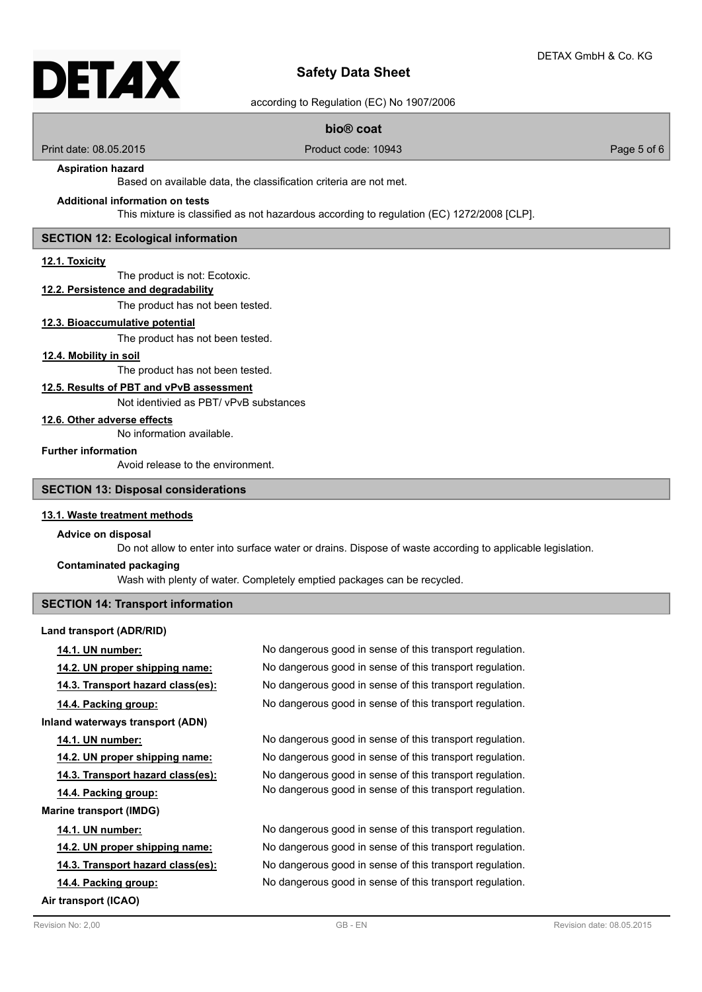# DETAX

# **Safety Data Sheet**

according to Regulation (EC) No 1907/2006

## **bio® coat**

Print date: 08.05.2015 Product code: 10943 Page 5 of 6

## **Aspiration hazard**

Based on available data, the classification criteria are not met.

## **Additional information on tests**

This mixture is classified as not hazardous according to regulation (EC) 1272/2008 [CLP].

#### **SECTION 12: Ecological information**

#### **12.1. Toxicity**

The product is not: Ecotoxic.

# **12.2. Persistence and degradability**

The product has not been tested.

#### **12.3. Bioaccumulative potential**

The product has not been tested.

#### **12.4. Mobility in soil**

The product has not been tested.

## **12.5. Results of PBT and vPvB assessment**

Not identivied as PBT/ vPvB substances

#### **12.6. Other adverse effects**

No information available.

## **Further information**

Avoid release to the environment.

#### **SECTION 13: Disposal considerations**

#### **13.1. Waste treatment methods**

#### **Advice on disposal**

Do not allow to enter into surface water or drains. Dispose of waste according to applicable legislation.

## **Contaminated packaging**

Wash with plenty of water. Completely emptied packages can be recycled.

## **SECTION 14: Transport information**

#### **Land transport (ADR/RID)**

| <u>14.1. UN number:</u>               | No dangerous good in sense of this transport regulation. |
|---------------------------------------|----------------------------------------------------------|
| <u>14.2. UN proper shipping name:</u> | No dangerous good in sense of this transport regulation. |
| 14.3. Transport hazard class(es):     | No dangerous good in sense of this transport regulation. |
| 14.4. Packing group:                  | No dangerous good in sense of this transport regulation. |
| Inland waterways transport (ADN)      |                                                          |
| 14.1. UN number:                      | No dangerous good in sense of this transport regulation. |
| 14.2. UN proper shipping name:        | No dangerous good in sense of this transport regulation. |
| 14.3. Transport hazard class(es):     | No dangerous good in sense of this transport regulation. |
| 14.4. Packing group:                  | No dangerous good in sense of this transport regulation. |
| Marine transport (IMDG)               |                                                          |
| <b>14.1. UN number:</b>               | No dangerous good in sense of this transport regulation. |
| <u>14.2. UN proper shipping name:</u> | No dangerous good in sense of this transport regulation. |
| 14.3. Transport hazard class(es):     | No dangerous good in sense of this transport regulation. |
| 14.4. Packing group:                  | No dangerous good in sense of this transport regulation. |
| Air transport (ICAO)                  |                                                          |